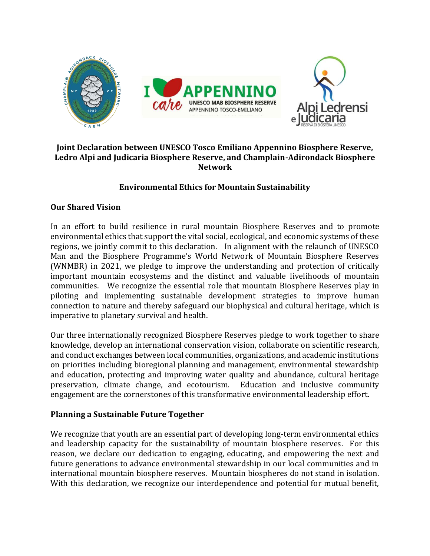

## **Joint Declaration between UNESCO Tosco Emiliano Appennino Biosphere Reserve, Ledro Alpi and Judicaria Biosphere Reserve, and Champlain-Adirondack Biosphere Network**

## **Environmental Ethics for Mountain Sustainability**

#### **Our Shared Vision**

In an effort to build resilience in rural mountain Biosphere Reserves and to promote environmental ethics that support the vital social, ecological, and economic systems of these regions, we jointly commit to this declaration. In alignment with the relaunch of UNESCO Man and the Biosphere Programme's World Network of Mountain Biosphere Reserves (WNMBR) in 2021, we pledge to improve the understanding and protection of critically important mountain ecosystems and the distinct and valuable livelihoods of mountain communities. We recognize the essential role that mountain Biosphere Reserves play in piloting and implementing sustainable development strategies to improve human connection to nature and thereby safeguard our biophysical and cultural heritage, which is imperative to planetary survival and health.

Our three internationally recognized Biosphere Reserves pledge to work together to share knowledge, develop an international conservation vision, collaborate on scientific research, and conduct exchanges between local communities, organizations, and academic institutions on priorities including bioregional planning and management, environmental stewardship and education, protecting and improving water quality and abundance, cultural heritage preservation, climate change, and ecotourism. Education and inclusive community engagement are the cornerstones of this transformative environmental leadership effort.

## **Planning a Sustainable Future Together**

We recognize that youth are an essential part of developing long-term environmental ethics and leadership capacity for the sustainability of mountain biosphere reserves. For this reason, we declare our dedication to engaging, educating, and empowering the next and future generations to advance environmental stewardship in our local communities and in international mountain biosphere reserves. Mountain biospheres do not stand in isolation. With this declaration, we recognize our interdependence and potential for mutual benefit,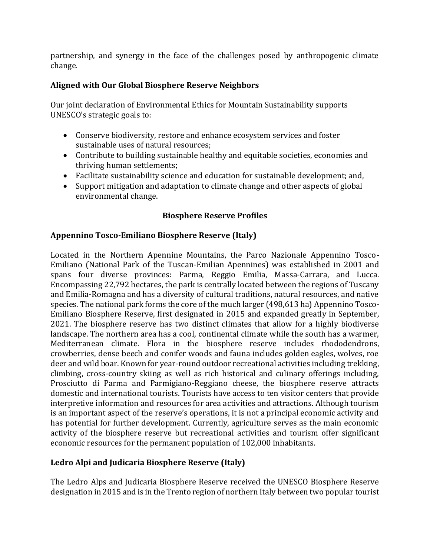partnership, and synergy in the face of the challenges posed by anthropogenic climate change.

# **Aligned with Our Global Biosphere Reserve Neighbors**

Our joint declaration of Environmental Ethics for Mountain Sustainability supports UNESCO's strategic goals to:

- Conserve biodiversity, restore and enhance ecosystem services and foster sustainable uses of natural resources;
- Contribute to building sustainable healthy and equitable societies, economies and thriving human settlements;
- Facilitate sustainability science and education for sustainable development; and,
- Support mitigation and adaptation to climate change and other aspects of global environmental change.

# **Biosphere Reserve Profiles**

# **Appennino Tosco-Emiliano Biosphere Reserve (Italy)**

Located in the Northern Apennine Mountains, the Parco Nazionale Appennino Tosco-Emiliano (National Park of the Tuscan-Emilian Apennines) was established in 2001 and spans four diverse provinces: Parma, Reggio Emilia, Massa-Carrara, and Lucca. Encompassing 22,792 hectares, the park is centrally located between the regions of Tuscany and Emilia-Romagna and has a diversity of cultural traditions, natural resources, and native species. The national park forms the core of the much larger (498,613 ha) Appennino Tosco-Emiliano Biosphere Reserve, first designated in 2015 and expanded greatly in September, 2021. The biosphere reserve has two distinct climates that allow for a highly biodiverse landscape. The northern area has a cool, continental climate while the south has a warmer, Mediterranean climate. Flora in the biosphere reserve includes rhododendrons, crowberries, dense beech and conifer woods and fauna includes golden eagles, wolves, roe deer and wild boar. Known for year-round outdoor recreational activities including trekking, climbing, cross-country skiing as well as rich historical and culinary offerings including, Prosciutto di Parma and Parmigiano-Reggiano cheese, the biosphere reserve attracts domestic and international tourists. Tourists have access to ten visitor centers that provide interpretive information and resources for area activities and attractions. Although tourism is an important aspect of the reserve's operations, it is not a principal economic activity and has potential for further development. Currently, agriculture serves as the main economic activity of the biosphere reserve but recreational activities and tourism offer significant economic resources for the permanent population of 102,000 inhabitants.

# **Ledro Alpi and Judicaria Biosphere Reserve (Italy)**

The Ledro Alps and Judicaria Biosphere Reserve received the UNESCO Biosphere Reserve designation in 2015 and is in the Trento region of northern Italy between two popular tourist